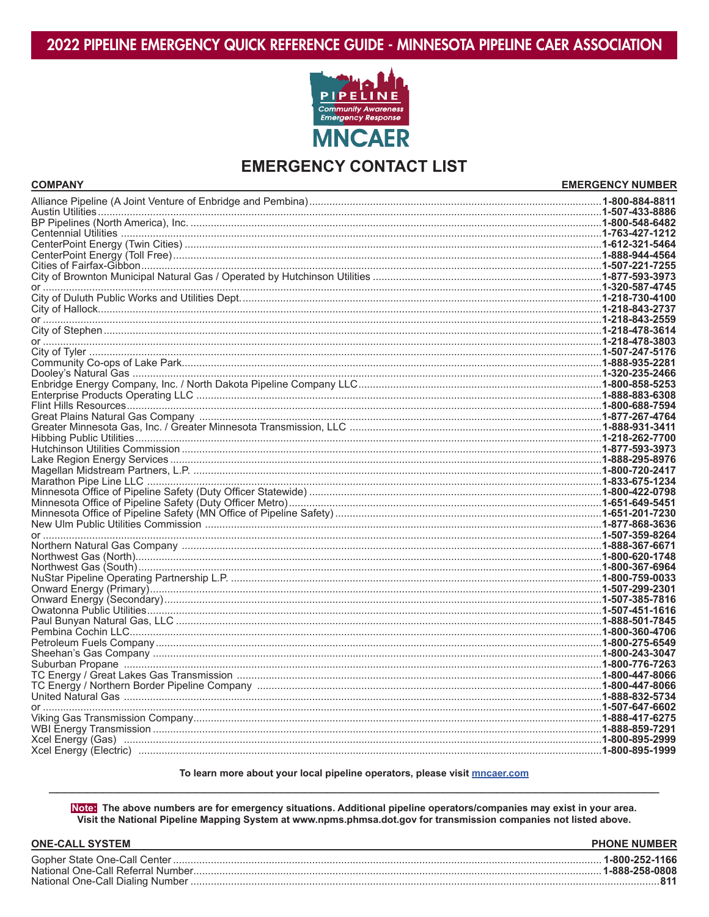

## **EMERGENCY CONTACT LIST**

| <b>COMPANY</b> | <b>EMERGENCY NUMBER</b> |
|----------------|-------------------------|
|                |                         |
|                |                         |
|                |                         |
|                |                         |
|                |                         |
|                |                         |
|                |                         |
|                |                         |
|                |                         |
|                |                         |
|                |                         |
|                |                         |
|                |                         |
|                |                         |
|                |                         |
|                |                         |
|                |                         |
|                |                         |
|                |                         |
|                |                         |
|                |                         |
|                |                         |
|                |                         |
|                |                         |
|                |                         |
|                |                         |
|                |                         |
|                |                         |
|                |                         |
|                |                         |
|                |                         |
|                |                         |
|                |                         |
|                |                         |
|                |                         |
|                |                         |
|                |                         |
|                |                         |
|                |                         |
|                |                         |
|                |                         |
|                |                         |
|                |                         |
|                |                         |
|                |                         |
|                |                         |
|                |                         |
|                |                         |
|                |                         |
|                |                         |
|                |                         |
|                |                         |
|                |                         |

## To learn more about your local pipeline operators, please visit mncaer.com

Note: The above numbers are for emergency situations. Additional pipeline operators/companies may exist in your area. Visit the National Pipeline Mapping System at www.npms.phmsa.dot.gov for transmission companies not listed above.

| <b>ONE-CALL SYSTEM</b> | <b>PHONE NUMBER</b>                 |
|------------------------|-------------------------------------|
|                        | .1-800-252-1166<br>. 1-888-258-0808 |
|                        |                                     |